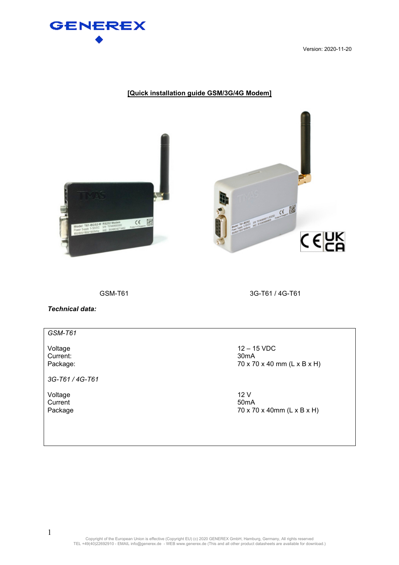

Version: 2020-11-20

# **[Quick installation guide GSM/3G/4G Modem]**





GSM-T61 3G-T61 / 4G-T61

*Technical data:* 

### *GSM-T61*

Current:<br>Package:

*3G-T61 / 4G-T61* 

Voltage 12 V<br>Current 50mA Current 50mA

Voltage 12 – 15 VDC<br>Current: 30mA 70 x 70 x 40 mm (L x B x H)

Package 70 x 70 x 40mm (L x B x H)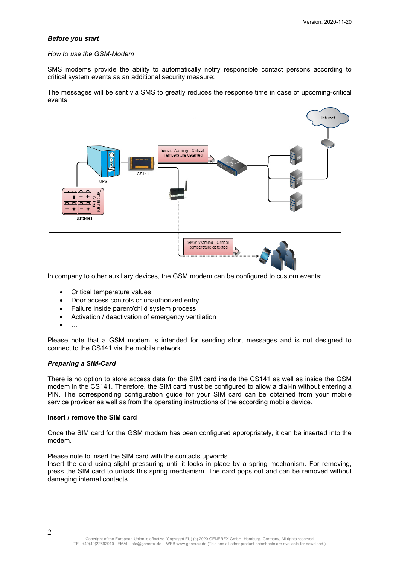### *Before you start*

### *How to use the GSM-Modem*

SMS modems provide the ability to automatically notify responsible contact persons according to critical system events as an additional security measure:

The messages will be sent via SMS to greatly reduces the response time in case of upcoming-critical events



In company to other auxiliary devices, the GSM modem can be configured to custom events:

- Critical temperature values
- Door access controls or unauthorized entry
- Failure inside parent/child system process
- Activation / deactivation of emergency ventilation
- …

Please note that a GSM modem is intended for sending short messages and is not designed to connect to the CS141 via the mobile network.

### *Preparing a SIM-Card*

There is no option to store access data for the SIM card inside the CS141 as well as inside the GSM modem in the CS141. Therefore, the SIM card must be configured to allow a dial-in without entering a PIN. The corresponding configuration guide for your SIM card can be obtained from your mobile service provider as well as from the operating instructions of the according mobile device.

#### **Insert / remove the SIM card**

Once the SIM card for the GSM modem has been configured appropriately, it can be inserted into the modem.

Please note to insert the SIM card with the contacts upwards.

Insert the card using slight pressuring until it locks in place by a spring mechanism. For removing, press the SIM card to unlock this spring mechanism. The card pops out and can be removed without damaging internal contacts.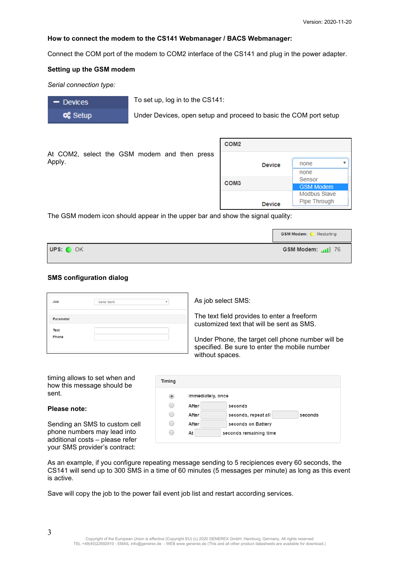$\overline{\mathbf{v}}$ 

none none Sensor **GSM Modem** Modbus Slave Pipe Through

### **How to connect the modem to the CS141 Webmanager / BACS Webmanager:**

Connect the COM port of the modem to COM2 interface of the CS141 and plug in the power adapter.

#### **Setting up the GSM modem**

*Serial connection type:* 

- Devices **o**& Setup To set up, log in to the CS141:

Under Devices, open setup and proceed to basic the COM port setup

|                                                        | COM <sub>2</sub> |
|--------------------------------------------------------|------------------|
| At COM2, select the GSM modem and then press<br>Apply. | <b>Device</b>    |
|                                                        | COM <sub>3</sub> |
|                                                        |                  |

The GSM modem icon should appear in the upper bar and show the signal quality:

|           | <b>GSM Modem: C</b> Restarting |
|-----------|--------------------------------|
| UPS: O OK | GSM Modem: util 76             |

### **SMS configuration dialog**

| Job           | Send SMS | v |
|---------------|----------|---|
| Parameter     |          |   |
| Text<br>Phone |          |   |
|               |          |   |

As job select SMS:

The text field provides to enter a freeform customized text that will be sent as SMS.

Under Phone, the target cell phone number will be specified. Be sure to enter the mobile number without spaces.

**Device** 

timing allows to set when and how this message should be sent.

### **Please note:**

Sending an SMS to custom cell phone numbers may lead into additional costs – please refer your SMS provider's contract:

| Timing                        |                   |                                |
|-------------------------------|-------------------|--------------------------------|
| $\left( \blacksquare \right)$ | Immediately, once |                                |
| ٠                             | After             | seconds                        |
| $\overline{ }$                | After             | seconds, repeat all<br>seconds |
|                               | After             | seconds on Battery             |
|                               | At                | seconds remaining time         |

As an example, if you configure repeating message sending to 5 recipiences every 60 seconds, the CS141 will send up to 300 SMS in a time of 60 minutes (5 messages per minute) as long as this event is active.

Save will copy the job to the power fail event job list and restart according services.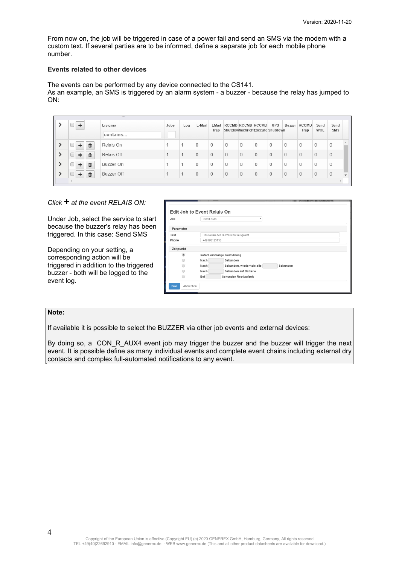From now on, the job will be triggered in case of a power fail and send an SMS via the modem with a custom text. If several parties are to be informed, define a separate job for each mobile phone number.

#### **Events related to other devices**

The events can be performed by any device connected to the CS141. As an example, an SMS is triggered by an alarm system - a buzzer - because the relay has jumped to ON:

|               |   | Ereignis<br>contains | Jobs | Log | E-Mail       | EMail<br>Trap |   |   | RCCMD RCCMD RCCMD<br>ShutdowNachrichExecute Shutdown | <b>UPS</b> | Buzzer  | RCCMD<br>Trap | Send<br>WOL | Send<br>SMS  |              |
|---------------|---|----------------------|------|-----|--------------|---------------|---|---|------------------------------------------------------|------------|---------|---------------|-------------|--------------|--------------|
|               | 血 | Relais On            |      |     | 0            | 0             | 0 | 0 | $\circ$                                              | $\circ$    | 0       | 0             | 0           | $\mathbf{0}$ |              |
|               | m | Relais Off           |      |     | $\Omega$     | $\Omega$      | 0 |   |                                                      | $\theta$   | 0       | $\Omega$      |             | $\Box$       |              |
| $\rightarrow$ | m | Buzzer On            |      |     | $\Omega$     | 0             | 0 | 0 | $\Omega$                                             | $\circ$    | 0       | 0             | $\Omega$    | $\Omega$     |              |
|               | 血 | Buzzer Off           |      |     | $\mathbf{0}$ | $\circ$       | 0 | 0 | $\circ$                                              | $\circ$    | $\circ$ | $\circ$       |             | $\circ$      | $\mathbf{v}$ |
|               |   |                      |      |     |              |               |   |   |                                                      |            |         |               |             |              |              |

# *Click* **+** *at the event RELAIS ON:*

Under Job, select the service to start because the buzzer's relay has been triggered. In this case: Send SMS

Depending on your setting, a corresponding action will be triggered in addition to the triggered buzzer - both will be logged to the event log.

| Job            | Send SMS | $\mathbf v$                           |  |  |  |  |  |  |
|----------------|----------|---------------------------------------|--|--|--|--|--|--|
| Parameter      |          |                                       |  |  |  |  |  |  |
| Text           |          | Das Relais des Buzzers hat ausgelöst. |  |  |  |  |  |  |
| Phone          |          | +49176123456                          |  |  |  |  |  |  |
| Zeitpunkt      |          |                                       |  |  |  |  |  |  |
| $\circledcirc$ |          | Sofort, einmalige Ausführung          |  |  |  |  |  |  |
|                | Nach     | Sekunden                              |  |  |  |  |  |  |
|                | Nach     | Sekunden, wiederhole alle<br>Sekunden |  |  |  |  |  |  |
|                | Nach     | Sekunden auf Batterie                 |  |  |  |  |  |  |
|                | Bei      | Sekunden Restlaufzeit                 |  |  |  |  |  |  |

## **Note:**

If available it is possible to select the BUZZER via other job events and external devices:

By doing so, a CON\_R\_AUX4 event job may trigger the buzzer and the buzzer will trigger the next event. It is possible define as many individual events and complete event chains including external dry contacts and complex full-automated notifications to any event.